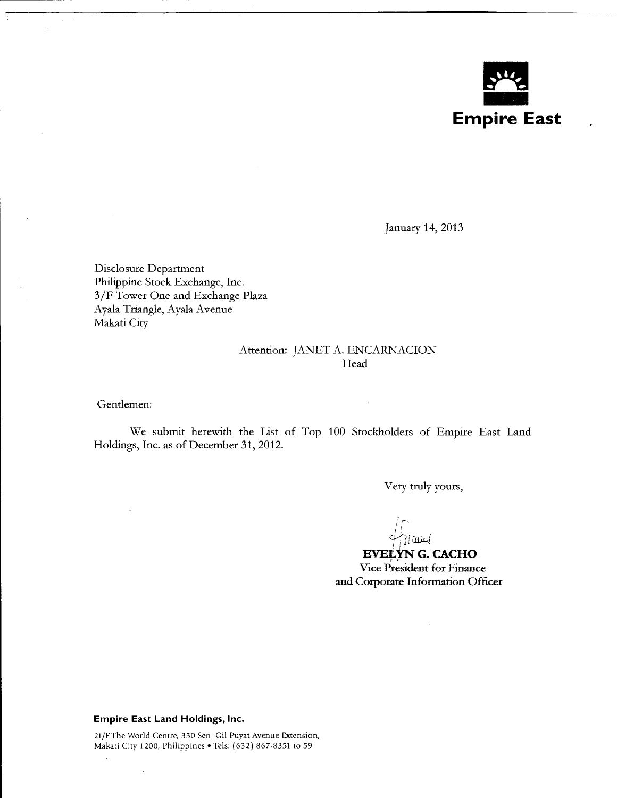

January 14, 2013

Disclosure Department Philippine Stock Exchange, Inc. 3/F Tower One and Exchange Plaza Ayala Triangle, Ayala Avenue Makati City

## Attention: JANET A. ENCARNACION Head

Gentlemen:

We submit herewith the List of Top 100 Stockholders of Empire East Land Holdings, Inc. as of December 31, 2012.

Very truly yours,

*!r-....* f! 431 am

**EVELYN G. CACHO** Vice President for Finance and Corporate Information Officer

## **Empire East Land Holdings, Inc.**

 $\ddot{\phantom{a}}$ 

 $\Delta$ 

21/F The World Centre, 330 Sen. Gil Puyat Avenue Extension, Makati City 1200, Philippines • Tels: (632) 867-8351 to 59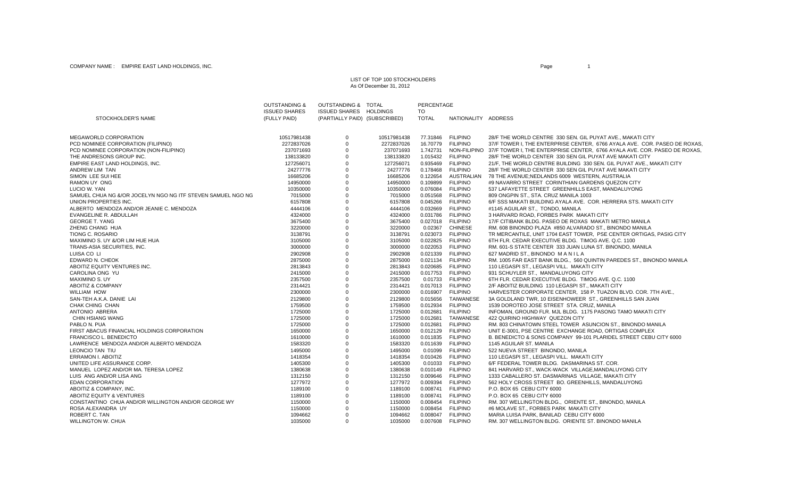## LIST OF TOP 100 STOCKHOLDERSAs Of December 31, 2012

|                                                             | <b>OUTSTANDING &amp;</b> | OUTSTANDING & TOTAL           |             | PERCENTAGE   |                     |                                                                           |
|-------------------------------------------------------------|--------------------------|-------------------------------|-------------|--------------|---------------------|---------------------------------------------------------------------------|
|                                                             | <b>ISSUED SHARES</b>     | <b>ISSUED SHARES HOLDINGS</b> |             | TO           |                     |                                                                           |
| STOCKHOLDER'S NAME                                          | (FULLY PAID)             | (PARTIALLY PAID) (SUBSCRIBED) |             | <b>TOTAL</b> | NATIONALITY ADDRESS |                                                                           |
| MEGAWORLD CORPORATION                                       | 10517981438              | $\mathbf 0$                   | 10517981438 |              | 77.31846 FILIPINO   | 28/F THE WORLD CENTRE 330 SEN, GIL PUYAT AVE., MAKATI CITY                |
| PCD NOMINEE CORPORATION (FILIPINO)                          | 2272837026               | $\mathbf 0$                   | 2272837026  | 16.70779     | <b>FILIPINO</b>     | 37/F TOWER I, THE ENTERPRISE CENTER, 6766 AYALA AVE. COR. PASEO DE ROXAS  |
| PCD NOMINEE CORPORATION (NON-FILIPINO)                      | 237071693                | $\mathbf 0$                   | 237071693   | 1.742731     | NON-FILIPINO        | 37/F TOWER I, THE ENTERPRISE CENTER, 6766 AYALA AVE. COR. PASEO DE ROXAS, |
| THE ANDRESONS GROUP INC.                                    | 138133820                | $\mathbf 0$                   | 138133820   | 1.015432     | <b>FILIPINO</b>     | 28/F THE WORLD CENTER 330 SEN GIL PUYAT AVE MAKATI CITY                   |
| EMPIRE EAST LAND HOLDINGS, INC.                             | 127256071                | $\mathbf 0$                   | 127256071   | 0.935469     | <b>FILIPINO</b>     | 21/F, THE WORLD CENTRE BUILDING 330 SEN. GIL PUYAT AVE., MAKATI CITY      |
| ANDREW LIM TAN                                              | 24277776                 | $\mathbf 0$                   | 24277776    | 0.178468     | <b>FILIPINO</b>     | 28/F THE WORLD CENTER 330 SEN GIL PUYAT AVE MAKATI CITY                   |
| SIMON LEE SUI HEE                                           | 16685206                 | $\mathbf 0$                   | 16685206    | 0.122654     | AUSTRALIAN          | 78 THE AVENUE; NEDLANDS 6009 WESTERN, AUSTRALIA                           |
| <b>RAMON UY ONG</b>                                         | 14950000                 | $\mathbf 0$                   | 14950000    | 0.109899     | <b>FILIPINO</b>     | #9 NAVARRO STREET CORINTHIAN GARDENS QUEZON CITY                          |
| LUCIO W. YAN                                                | 10350000                 | $\Omega$                      | 10350000    | 0.076084     | <b>FILIPINO</b>     | 537 LAFAYETTE STREET GREENHILLS EAST, MANDALUYONG                         |
| SAMUEL CHUA NG &/OR JOCELYN NGO NG ITF STEVEN SAMUEL NGO NG | 7015000                  | $\mathbf 0$                   | 7015000     | 0.051568     | <b>FILIPINO</b>     | 809 ONGPIN ST., STA. CRUZ MANILA 1003                                     |
| UNION PROPERTIES INC.                                       | 6157808                  | $\mathbf 0$                   | 6157808     | 0.045266     | <b>FILIPINO</b>     | 6/F SSS MAKATI BUILDING AYALA AVE. COR. HERRERA STS. MAKATI CITY          |
| ALBERTO MENDOZA AND/OR JEANIE C. MENDOZA                    | 4444106                  | $\mathbf 0$                   | 4444106     | 0.032669     | <b>FILIPINO</b>     | #1145 AGUILAR ST., TONDO, MANILA                                          |
| <b>EVANGELINE R. ABDULLAH</b>                               | 4324000                  | $\mathbf 0$                   | 4324000     | 0.031786     | <b>FILIPINO</b>     | 3 HARVARD ROAD, FORBES PARK MAKATI CITY                                   |
| <b>GEORGE T. YANG</b>                                       | 3675400                  | $\mathbf 0$                   | 3675400     |              | 0.027018 FILIPINO   | 17/F CITIBANK BLDG. PASEO DE ROXAS MAKATI METRO MANILA                    |
| ZHENG CHANG HUA                                             | 3220000                  | $\mathbf 0$                   | 3220000     | 0.02367      | <b>CHINESE</b>      | RM. 608 BINONDO PLAZA #850 ALVARADO ST., BINONDO MANILA                   |
| TIONG C. ROSARIO                                            | 3138791                  | $\mathbf 0$                   | 3138791     | 0.023073     | <b>FILIPINO</b>     | TR MERCANTILE, UNIT 1704 EAST TOWER, PSE CENTER ORTIGAS, PASIG CITY       |
| MAXIMINO S. UY &/OR LIM HUE HUA                             | 3105000                  | $\mathbf 0$                   | 3105000     | 0.022825     | <b>FILIPINO</b>     | 6TH FLR. CEDAR EXECUTIVE BLDG. TIMOG AVE. Q.C. 1100                       |
| TRANS-ASIA SECURITIES, INC.                                 | 3000000                  | $\mathbf 0$                   | 3000000     | 0.022053     | <b>FILIPINO</b>     | RM. 601-S STATE CENTER 333 JUAN LUNA ST. BINONDO, MANILA                  |
| LUISA CO LI                                                 | 2902908                  | $\mathbf 0$                   | 2902908     | 0.021339     | <b>FILIPINO</b>     | 627 MADRID ST., BINONDO MANILA                                            |
| EDWARD N. CHEOK                                             | 2875000                  | $\mathbf 0$                   | 2875000     | 0.021134     | <b>FILIPINO</b>     | RM. 1005 FAR EAST BANK BLDG., 560 QUINTIN PAREDES ST., BINONDO MANILA     |
| ABOITIZ EQUITY VENTURES INC.                                | 2813843                  | $\mathbf 0$                   | 2813843     |              | 0.020685 FILIPINO   | 110 LEGASPI ST., LEGASPI VILL. MAKATI CITY                                |
| CAROLINA ONG YU                                             | 2415000                  | $\mathbf 0$                   | 2415000     | 0.017753     | <b>FILIPINO</b>     | 931 SCHUYLER ST., MANDALUYONG CITY                                        |
| <b>MAXIMINO S. UY</b>                                       | 2357500                  | $\mathbf 0$                   | 2357500     |              | 0.01733 FILIPINO    | 6TH FLR. CEDAR EXECUTIVE BLDG. TIMOG AVE. Q.C. 1100                       |
| <b>ABOITIZ &amp; COMPANY</b>                                | 2314421                  | $\mathbf 0$                   | 2314421     | 0.017013     | <b>FILIPINO</b>     | 2/F ABOITIZ BUILDING 110 LEGASPI ST., MAKATI CITY                         |
| <b>WILLIAM HOW</b>                                          | 2300000                  | $\mathbf 0$                   | 2300000     |              | 0.016907 FILIPINO   | HARVESTER CORPORATE CENTER, 158 P. TUAZON BLVD. COR. 7TH AVE.,            |
| SAN-TEH A.K.A. DANIE LAI                                    | 2129800                  | $\mathbf 0$                   | 2129800     | 0.015656     | <b>TAIWANESE</b>    | 3A GOLDLAND TWR, 10 EISENHOWEER ST., GREENHILLS SAN JUAN                  |
| CHAK CHING CHAN                                             | 1759500                  | $\mathbf 0$                   | 1759500     | 0.012934     | <b>FILIPINO</b>     | 1539 DOROTEO JOSE STREET STA. CRUZ, MANILA                                |
| ANTONIO ABRERA                                              | 1725000                  | $\mathbf 0$                   | 1725000     | 0.012681     | <b>FILIPINO</b>     | INFOMAN, GROUND FLR. MJL BLDG. 1175 PASONG TAMO MAKATI CITY               |
| <b>CHIN HSIANG WANG</b>                                     | 1725000                  | $\mathbf 0$                   | 1725000     | 0.012681     | TAIWANESE           | 422 QUIRINO HIGHWAY QUEZON CITY                                           |
| PABLO N. PUA                                                | 1725000                  | $\mathbf 0$                   | 1725000     | 0.012681     | <b>FILIPINO</b>     | RM. 803 CHINATOWN STEEL TOWER ASUNCION ST., BINONDO MANILA                |
| FIRST ABACUS FINANCIAL HOLDINGS CORPORATION                 | 1650000                  | $\mathbf 0$                   | 1650000     | 0.012129     | <b>FILIPINO</b>     | UNIT E-3001, PSE CENTRE EXCHANGE ROAD, ORTIGAS COMPLEX                    |
| <b>FRANCISCO L. BENEDICTO</b>                               | 1610000                  | $\mathbf 0$                   | 1610000     | 0.011835     | <b>FILIPINO</b>     | B. BENEDICTO & SONS COMPANY 99-101 PLARIDEL STREET CEBU CITY 6000         |
| LAWRENCE MENDOZA AND/OR ALBERTO MENDOZA                     | 1583320                  | $\mathbf 0$                   | 1583320     | 0.011639     | <b>FILIPINO</b>     | 1145 AGUILAR ST. MANILA                                                   |
| LEONCIO TAN TIU                                             | 1495000                  | $\mathbf 0$                   | 1495000     | 0.01099      | <b>FILIPINO</b>     | 522 NUEVA STREET BINONDO, MANILA                                          |
| <b>ERRAMON I. ABOITIZ</b>                                   | 1418354                  | $\mathbf 0$                   | 1418354     | 0.010426     | <b>FILIPINO</b>     | 110 LEGASPI ST., LEGASPI VILL. MAKATI CITY                                |
| UNITED LIFE ASSURANCE CORP.                                 | 1405300                  | $\mathbf 0$                   | 1405300     | 0.01033      | <b>FILIPINO</b>     | 6/F FEDERAL TOWER BLDG. DASMARINAS ST. COR.                               |
| MANUEL LOPEZ AND/OR MA. TERESA LOPEZ                        | 1380638                  | $\mathbf 0$                   | 1380638     |              | 0.010149 FILIPINO   | 841 HARVARD ST., WACK-WACK VILLAGE, MANDALUYONG CITY                      |
| LUIS ANG AND/OR LISA ANG                                    | 1312150                  | $\mathbf 0$                   | 1312150     | 0.009646     | <b>FILIPINO</b>     | 1333 CABALLERO ST. DASMARINAS VILLAGE, MAKATI CITY                        |
| <b>EDAN CORPORATION</b>                                     | 1277972                  | $\mathbf 0$                   | 1277972     | 0.009394     | <b>FILIPINO</b>     | 562 HOLY CROSS STREET BO. GREENHILLS, MANDALUYONG                         |
| ABOITIZ & COMPANY, INC.                                     | 1189100                  | $\mathbf 0$                   | 1189100     | 0.008741     | <b>FILIPINO</b>     | P.O. BOX 65 CEBU CITY 6000                                                |
| <b>ABOITIZ EQUITY &amp; VENTURES</b>                        | 1189100                  | $\mathbf 0$                   | 1189100     | 0.008741     | <b>FILIPINO</b>     | P.O. BOX 65 CEBU CITY 6000                                                |
| CONSTANTINO CHUA AND/OR WILLINGTON AND/OR GEORGE WY         | 1150000                  | $\mathbf 0$                   | 1150000     | 0.008454     | <b>FILIPINO</b>     | RM. 307 WELLINGTON BLDG., ORIENTE ST., BINONDO, MANILA                    |
| ROSA ALEXANDRA UY                                           | 1150000                  | $\mathbf 0$                   | 1150000     |              | 0.008454 FILIPINO   | #6 MOLAVE ST., FORBES PARK MAKATI CITY                                    |
| ROBERT C. TAN                                               | 1094662                  | $\mathbf 0$                   | 1094662     |              | 0.008047 FILIPINO   | MARIA LUISA PARK, BANILAD CEBU CITY 6000                                  |
| WILLINGTON W. CHUA                                          | 1035000                  | $\Omega$                      | 1035000     | 0.007608     | <b>FILIPINO</b>     | RM. 307 WELLINGTON BLDG. ORIENTE ST. BINONDO MANILA                       |
|                                                             |                          |                               |             |              |                     |                                                                           |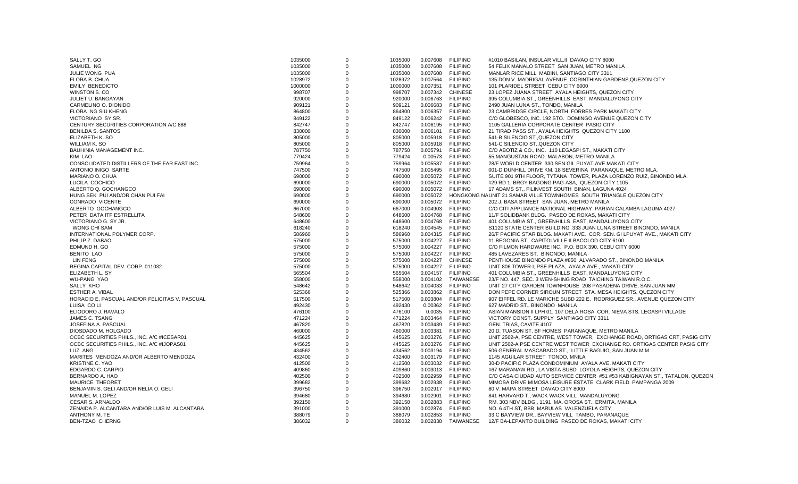| SALLY T. GO                                    | 1035000 | $\mathbf 0$ | 1035000 | 0.007608          | <b>FILIPINO</b>  | #1010 BASILAN, INSULAR VILL.II DAVAO CITY 8000                              |
|------------------------------------------------|---------|-------------|---------|-------------------|------------------|-----------------------------------------------------------------------------|
| SAMUEL NG                                      | 1035000 | $\Omega$    | 1035000 | 0.007608          | <b>FILIPINO</b>  | 54 FELIX MANALO STREET SAN JUAN, METRO MANILA                               |
| JULIE WONG PUA                                 | 1035000 | $\mathbf 0$ | 1035000 | 0.007608          | <b>FILIPINO</b>  | MANLAR RICE MILL MABINI, SANTIAGO CITY 3311                                 |
| FLORA B. CHUA                                  | 1028972 | $\mathbf 0$ | 1028972 | 0.007564          | <b>FILIPINO</b>  | #35 DON V. MADRIGAL AVENUE CORINTHIAN GARDENS, QUEZON CITY                  |
| <b>EMILY BENEDICTO</b>                         | 1000000 | $\mathbf 0$ | 1000000 | 0.007351          | <b>FILIPINO</b>  | 101 PLARIDEL STREET CEBU CITY 6000                                          |
| WINSTON S. CO                                  | 998707  | $\Omega$    | 998707  | 0.007342          | <b>CHINESE</b>   | 23 LOPEZ JUANA STREET AYALA HEIGHTS, QUEZON CITY                            |
| JULIET U. BANGAYAN                             | 920000  | $\mathbf 0$ | 920000  | 0.006763          | <b>FILIPINO</b>  | 395 COLUMBIA ST., GREENHILLS EAST, MANDALUYONG CITY                         |
| CARMELINO O. DIONIDO                           | 909121  | $\mathbf 0$ | 909121  | 0.006683          | <b>FILIPINO</b>  | 2490 JUAN LUNA ST., TONDO, MANILA                                           |
| FLORA NG SIU KHENG                             | 864800  | $\Omega$    | 864800  | 0.006357          | <b>FILIPINO</b>  | 23 CAMBRIDGE CIRCLE, NORTH FORBES PARK MAKATI CITY                          |
| VICTORIANO SY SR.                              | 849122  | $\Omega$    | 849122  | 0.006242          | <b>FILIPINO</b>  | C/O GLOBESCO, INC. 192 STO. DOMINGO AVENUE QUEZON CITY                      |
| CENTURY SECURITIES CORPORATION A/C 888         | 842747  | $\Omega$    | 842747  | 0.006195          | <b>FILIPINO</b>  | 1105 GALLERIA CORPORATE CENTER PASIG CITY                                   |
| <b>BENILDA S. SANTOS</b>                       | 830000  | $\Omega$    | 830000  | 0.006101          | <b>FILIPINO</b>  | 21 TIRAD PASS ST., AYALA HEIGHTS QUEZON CITY 1100                           |
| ELIZABETH K. SO                                | 805000  | $\Omega$    | 805000  | 0.005918 FILIPINO |                  | 541-B SILENCIO ST., QUEZON CITY                                             |
| WILLIAM K. SO                                  | 805000  | $\Omega$    | 805000  | 0.005918          | <b>FILIPINO</b>  | 541-C SILENCIO ST., QUEZON CITY                                             |
| BAUHINIA MANAGEMENT INC.                       | 787750  | $\Omega$    | 787750  | 0.005791          | <b>FILIPINO</b>  | C/O ABOTIZ & CO., INC. 110 LEGASPI ST., MAKATI CITY                         |
| KIM LAO                                        | 779424  | $\Omega$    |         | 0.00573           | <b>FILIPINO</b>  | 55 MANGUSTAN ROAD MALABON, METRO MANILA                                     |
| CONSOLIDATED DISTILLERS OF THE FAR EAST INC.   |         | $\Omega$    | 779424  |                   |                  |                                                                             |
|                                                | 759964  |             | 759964  | 0.005587          | <b>FILIPINO</b>  | 28/F WORLD CENTER 330 SEN GIL PUYAT AVE MAKATI CITY                         |
| ANTONIO INIGO SARTE                            | 747500  | $\Omega$    | 747500  | 0.005495          | <b>FILIPINO</b>  | 001-D DUNHILL DRIVE KM. 18 SEVERINA PARANAQUE, METRO MLA.                   |
| MARIANO O. CHUA                                | 690000  | $\mathbf 0$ | 690000  | 0.005072 FILIPINO |                  | SUITE 901 9TH FLOOR, TYTANA TOWER, PLAZA LORENZO RUIZ, BINONDO MLA.         |
| LUCILA COCHICO                                 | 690000  | $\Omega$    | 690000  | 0.005072 FILIPINO |                  | #29 RD 1, BRGY BAGONG PAG-ASA, QUEZON CITY 1105                             |
| ALBERTO Q. GOCHANGCO                           | 690000  | $\Omega$    | 690000  | 0.005072          | <b>FILIPINO</b>  | 17 ADAMS ST., FILINVEST SOUTH BINAN, LAGUNA 4024                            |
| HUNG SEK PUI AND/OR CHAN PUI FAI               | 690000  | $\mathbf 0$ | 690000  | 0.005072          |                  | HONGKONG NAUNIT 21 SAMAR VILLE TOWNHOMES SOUTH TRIANGLE QUEZON CITY         |
| CONRADO VICENTE                                | 690000  | $\Omega$    | 690000  | 0.005072 FILIPINO |                  | 202 J. BASA STREET SAN JUAN, METRO MANILA                                   |
| ALBERTO GOCHANGCO                              | 667000  | $\Omega$    | 667000  | 0.004903          | <b>FILIPINO</b>  | C/O CITI APPLIANCE NATIONAL HIGHWAY PARIAN CALAMBA LAGUNA 4027              |
| PETER DATA ITF ESTRELLITA                      | 648600  | $\Omega$    | 648600  | 0.004768          | <b>FILIPINO</b>  | 11/F SOLIDBANK BLDG. PASEO DE ROXAS, MAKATI CITY                            |
| VICTORIANO G. SY JR.                           | 648600  | $\Omega$    | 648600  | 0.004768          | <b>FILIPINO</b>  | 401 COLUMBIA ST., GREENHILLS EAST, MANDALUYONG CITY                         |
| <b>WONG CHI SAM</b>                            | 618240  | $\Omega$    | 618240  | 0.004545          | <b>FILIPINO</b>  | S1120 STATE CENTER BUILDING 333 JUAN LUNA STREET BINONDO, MANILA            |
| INTERNATIONAL POLYMER CORP.                    | 586960  | $\Omega$    | 586960  | 0.004315          | <b>FILIPINO</b>  | 26/F PACIFIC STAR BLDG., MAKATI AVE. COR. SEN. GI LPUYAT AVE., MAKATI CITY  |
| PHILIP Z. DABAO                                | 575000  | $\Omega$    | 575000  | 0.004227          | <b>FILIPINO</b>  | #1 BEGONIA ST. CAPITOLVILLE II BACOLOD CITY 6100                            |
| EDMUND H. GO                                   | 575000  | $\Omega$    | 575000  | 0.004227          | <b>FILIPINO</b>  | C/O FILMON HARDWARE INC. P.O. BOX 390, CEBU CITY 6000                       |
| <b>BENITO LAO</b>                              | 575000  | $\Omega$    | 575000  | 0.004227          | <b>FILIPINO</b>  | 485 LAVEZARES ST. BINONDO, MANILA                                           |
| <b>LIN FENG</b>                                | 575000  | $\Omega$    | 575000  | 0.004227          | <b>CHINESE</b>   | PENTHOUSE BINONDO PLAZA #850 ALVARADO ST., BINONDO MANILA                   |
| REGINA CAPITAL DEV. CORP. 011032               | 575000  | $\Omega$    | 575000  | 0.004227          | <b>FILIPINO</b>  | UNIT 806 TOWER I, PSE PLAZA, AYALA AVE., MAKATI CITY                        |
| ELIZABETH L. SY                                | 565504  | $\Omega$    | 565504  | 0.004157          | <b>FILIPINO</b>  | 401 COLUMBIA ST., GREENHILLS EAST, MANDALUYONG CITY                         |
| <b>WU-PANG YAO</b>                             | 558000  | $\Omega$    | 558000  | 0.004102          | TAIWANESE        | 23/F NO. 447, SEC. 3 WEN-SHING ROAD TAICHING TAIWAN R.O.C.                  |
| SALLY KHO                                      | 548642  | $\Omega$    | 548642  | 0.004033          | <b>FILIPINO</b>  | UNIT 27 CITY GARDEN TOWNHOUSE 208 PASADENA DRIVE, SAN JUAN MM               |
| ESTHER A. VIBAL                                | 525366  | $\Omega$    | 525366  | 0.003862          | <b>FILIPINO</b>  | DON PEPE CORNER SIROUN STREET STA. MESA HEIGHTS, QUEZON CITY                |
| HORACIO E. PASCUAL AND/OR FELICITAS V. PASCUAL | 517500  | $\Omega$    | 517500  | 0.003804          | <b>FILIPINO</b>  | 907 EIFFEL RD. LE MARICHE SUBD 222 E. RODRIGUEZ SR., AVENUE QUEZON CITY     |
| LUISA CO LI                                    | 492430  | $\Omega$    | 492430  |                   | 0.00362 FILIPINO | 627 MADRID ST., BINONDO MANILA                                              |
| ELIODORO J. RAVALO                             | 476100  | $\mathbf 0$ | 476100  | 0.0035            | <b>FILIPINO</b>  | ASIAN MANSION II LPH 01, 107 DELA ROSA COR. NIEVA STS. LEGASPI VILLAGE      |
| JAMES C. TSANG                                 | 471224  | $\Omega$    |         |                   | <b>FILIPINO</b>  | VICTORY CONST. SUPPLY SANTIAGO CITY 3311                                    |
|                                                |         | $\Omega$    | 471224  | 0.003464          |                  |                                                                             |
| JOSEFINA A. PASCUAL                            | 467820  |             | 467820  | 0.003439          | <b>FILIPINO</b>  | GEN. TRIAS, CAVITE 4107                                                     |
| DIOSDADO M. HOLGADO                            | 460000  | $\Omega$    | 460000  | 0.003381          | <b>FILIPINO</b>  | 20 D. TUASON ST. BF HOMES PARANAQUE, METRO MANILA                           |
| OCBC SECURITIES PHILS., INC. A/C #ICESAR01     | 445625  | $\Omega$    | 445625  | 0.003276          | <b>FILIPINO</b>  | UNIT 2502-A, PSE CENTRE, WEST TOWER, EXCHANGE ROAD, ORTIGAS CRT, PASIG CITY |
| OCBC SECURITIES PHILS., INC. A/C #IJOPAS01     | 445625  | $\Omega$    | 445625  | 0.003276          | <b>FILIPINO</b>  | UNIT 2502-A PSE CENTRE WEST TOWER EXCHANGE RD. ORTIGAS CENTER PASIG CITY    |
| LUZ ANG                                        | 434562  | $\Omega$    | 434562  | 0.003194          | <b>FILIPINO</b>  | 506 GENERAL MASCARADO ST., LITTLE BAGUIO, SAN JUAN M.M.                     |
| MARITES MENDOZA AND/OR ALBERTO MENDOZA         | 432400  | $\Omega$    | 432400  | 0.003179 FILIPINO |                  | 1145 AGUILAR STREET TONDO, MNILA                                            |
| <b>KRISTINE C. YAO</b>                         | 412500  | $\Omega$    | 412500  | 0.003032          | <b>FILIPINO</b>  | 30-D PACIFIC PLAZA CONDOMINIUM AYALA AVE. MAKATI CITY                       |
| EDGARDO C. CARPIO                              | 409860  | $\Omega$    | 409860  | 0.003013 FILIPINO |                  | #67 MARANAW RD LA VISTA SUBD LOYOLA HEIGHTS. QUEZON CITY                    |
| BERNARDO A. HAO                                | 402500  | $\Omega$    | 402500  | 0.002959          | <b>FILIPINO</b>  | C/O CASA CIUDAD AUTO SERVICE CENTER #51 #53 KABIGNAYAN ST., TATALON, QUEZON |
| MAURICE THEORET                                | 399682  | $\Omega$    | 399682  | 0.002938          | <b>FILIPINO</b>  | MIMOSA DRIVE MIMOSA LEISURE ESTATE CLARK FIELD PAMPANGA 2009                |
| BENJAMIN S. GELI AND/OR NELIA O. GELI          | 396750  | $\Omega$    | 396750  | 0.002917 FILIPINO |                  | 80 V. MAPA STREET DAVAO CITY 8000                                           |
| MANUEL M. LOPEZ                                | 394680  | $\Omega$    | 394680  | 0.002901          | <b>FILIPINO</b>  | 841 HARVARD T., WACK WACK VILL MANDALUYONG                                  |
| <b>CESAR S. ARNALDO</b>                        | 392150  | $\Omega$    | 392150  | 0.002883          | <b>FILIPINO</b>  | RM. 303 NBV BLDG., 1191 MA. OROSA ST., ERMITA, MANILA                       |
| ZENAIDA P. ALCANTARA AND/OR LUIS M. ALCANTARA  | 391000  | $\Omega$    | 391000  | 0.002874          | <b>FILIPINO</b>  | NO. 6 4TH ST, BBB, MARULAS VALENZUELA CITY                                  |
| ANTHONY M. TE                                  | 388079  | $\mathbf 0$ | 388079  | 0.002853          | <b>FILIPINO</b>  | 33 C BAYVIEW DR., BAYVIEW VILL TAMBO, PARANAQUE                             |
| <b>BEN-TZAO CHERNG</b>                         | 386032  | $\Omega$    | 386032  | 0.002838          | TAIWANESE        | 12/F BA-LEPANTO BUILDING PASEO DE ROXAS, MAKATI CITY                        |
|                                                |         |             |         |                   |                  |                                                                             |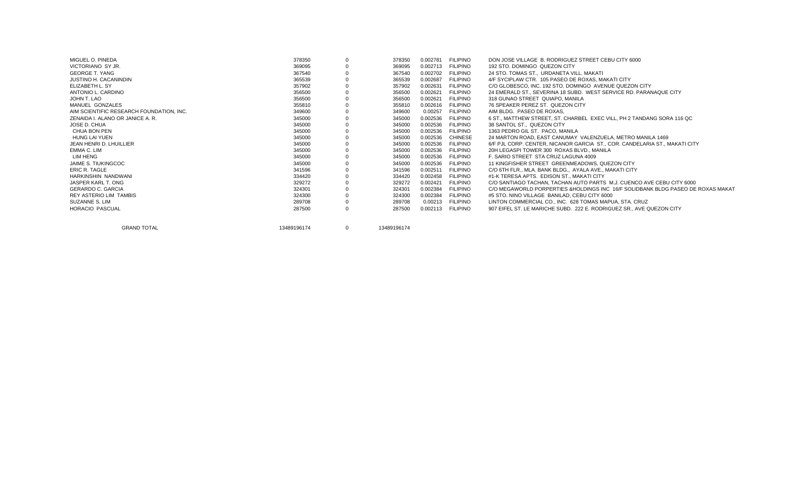| 378350      |              | 378350      | 0.002781 | DON JOSE VILLAGE B. RODRIGUEZ STREET CEBU CITY 6000                                                                                                                                                                                                                                                                                                                                                                                                                 |
|-------------|--------------|-------------|----------|---------------------------------------------------------------------------------------------------------------------------------------------------------------------------------------------------------------------------------------------------------------------------------------------------------------------------------------------------------------------------------------------------------------------------------------------------------------------|
| 369095      |              | 369095      | 0.002713 | 192 STO, DOMINGO QUEZON CITY                                                                                                                                                                                                                                                                                                                                                                                                                                        |
| 367540      |              | 367540      | 0.002702 | 24 STO. TOMAS ST., URDANETA VILL, MAKATI                                                                                                                                                                                                                                                                                                                                                                                                                            |
| 365539      |              | 365539      | 0.002687 | 4/F SYCIPLAW CTR. 105 PASEO DE ROXAS, MAKATI CITY                                                                                                                                                                                                                                                                                                                                                                                                                   |
| 357902      |              | 357902      | 0.002631 | C/O GLOBESCO. INC. 192 STO. DOMINGO AVENUE QUEZON CITY                                                                                                                                                                                                                                                                                                                                                                                                              |
| 356500      |              | 356500      | 0.002621 | 24 EMERALD ST., SEVERINA 18 SUBD. WEST SERVICE RD. PARANAQUE CITY                                                                                                                                                                                                                                                                                                                                                                                                   |
| 356500      |              | 356500      | 0.002621 | 318 GUNAO STREET QUIAPO, MANILA                                                                                                                                                                                                                                                                                                                                                                                                                                     |
| 355810      |              | 355810      | 0.002616 | 76 SPEAKER PEREZ ST. QUEZON CITY                                                                                                                                                                                                                                                                                                                                                                                                                                    |
| 349600      |              | 349600      | 0.00257  | AIM BLDG. PASEO DE ROXAS.                                                                                                                                                                                                                                                                                                                                                                                                                                           |
| 345000      |              | 345000      | 0.002536 | 6 ST., MATTHEW STREET, ST. CHARBEL EXEC VILL, PH 2 TANDANG SORA 116 QC                                                                                                                                                                                                                                                                                                                                                                                              |
| 345000      |              | 345000      | 0.002536 | 38 SANTOL ST., QUEZON CITY                                                                                                                                                                                                                                                                                                                                                                                                                                          |
| 345000      |              | 345000      | 0.002536 | 1363 PEDRO GIL ST. PACO, MANILA                                                                                                                                                                                                                                                                                                                                                                                                                                     |
| 345000      |              | 345000      | 0.002536 | 24 MARTON ROAD, EAST CANUMAY VALENZUELA, METRO MANILA 1469                                                                                                                                                                                                                                                                                                                                                                                                          |
| 345000      |              | 345000      | 0.002536 | 6/F PJL CORP, CENTER, NICANOR GARCIA ST., COR, CANDELARIA ST., MAKATI CITY                                                                                                                                                                                                                                                                                                                                                                                          |
| 345000      |              | 345000      | 0.002536 | 20H LEGASPI TOWER 300 ROXAS BLVD., MANILA                                                                                                                                                                                                                                                                                                                                                                                                                           |
| 345000      |              | 345000      | 0.002536 | F. SARIO STREET STA CRUZ LAGUNA 4009                                                                                                                                                                                                                                                                                                                                                                                                                                |
| 345000      |              | 345000      | 0.002536 | 11 KINGFISHER STREET GREENMEADOWS, QUEZON CITY                                                                                                                                                                                                                                                                                                                                                                                                                      |
| 341596      |              | 341596      | 0.002511 | C/O 6TH FLR., MLA, BANK BLDG., AYALA AVE., MAKATI CITY                                                                                                                                                                                                                                                                                                                                                                                                              |
| 334420      |              | 334420      | 0.002458 | #1-K TERESA APTS. EDISON ST., MAKATI CITY                                                                                                                                                                                                                                                                                                                                                                                                                           |
| 329272      |              | 329272      | 0.002421 | C/O SANTIAGO TACHAN. TACHAN AUTO PARTS M.J. CUENCO AVE CEBU CITY 6000                                                                                                                                                                                                                                                                                                                                                                                               |
| 324301      |              | 324301      | 0.002384 | C/O MEGAWORLD PORPERTIES & HOLDINGS INC 16/F SOLIDBANK BLDG PASEO DE ROXAS MAKAT                                                                                                                                                                                                                                                                                                                                                                                    |
| 324300      |              | 324300      | 0.002384 | #5 STO, NINO VILLAGE BANILAD, CEBU CITY 6000                                                                                                                                                                                                                                                                                                                                                                                                                        |
| 289708      |              | 289708      | 0.00213  | LINTON COMMERCIAL CO., INC. 628 TOMAS MAPUA, STA. CRUZ                                                                                                                                                                                                                                                                                                                                                                                                              |
| 287500      |              | 287500      | 0.002113 | 907 EIFEL ST. LE MARICHE SUBD. 222 E. RODRIGUEZ SR., AVE QUEZON CITY                                                                                                                                                                                                                                                                                                                                                                                                |
| 13489196174 | $\mathbf{0}$ | 13489196174 |          |                                                                                                                                                                                                                                                                                                                                                                                                                                                                     |
|             |              |             |          | <b>FILIPINO</b><br><b>FILIPINO</b><br><b>FILIPINO</b><br><b>FILIPINO</b><br><b>FILIPINO</b><br><b>FILIPINO</b><br><b>FILIPINO</b><br><b>FILIPINO</b><br><b>FILIPINO</b><br><b>FILIPINO</b><br><b>FILIPINO</b><br><b>FILIPINO</b><br><b>CHINESE</b><br><b>FILIPINO</b><br><b>FILIPINO</b><br><b>FILIPINO</b><br><b>FILIPINO</b><br><b>FILIPINO</b><br><b>FILIPINO</b><br><b>FILIPINO</b><br><b>FILIPINO</b><br><b>FILIPINO</b><br><b>FILIPINO</b><br><b>FILIPINO</b> |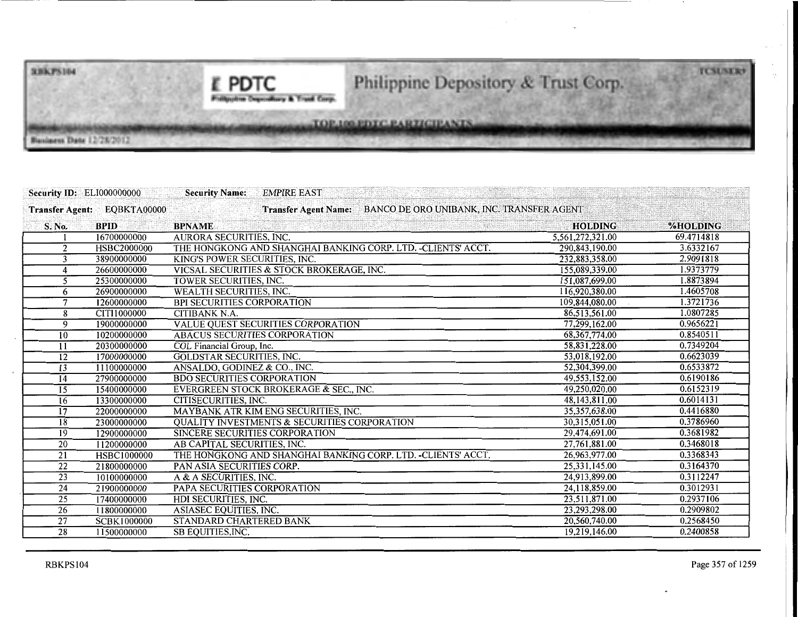**RBKPS104** 

E PDTC **Philippine Depoulsary & Treed Corp.** 

## Philippine Depository & Trust Corp.

TOP.100.PDTC.PARTICIPANTS

Business Date 12/26/2012

| <b>Security ID: ELI000000000</b> |                             | <b>EMPIRE EAST</b><br><b>Security Name:</b>                   |                                           |                 |
|----------------------------------|-----------------------------|---------------------------------------------------------------|-------------------------------------------|-----------------|
|                                  | Transfer Agent: EQBKTA00000 | <b>Transfer Agent Name:</b>                                   | BANCO DE ORO UNIBANK, INC. TRANSFER AGENT |                 |
| S. No.                           | <b>BPID</b>                 | <b>BPNAME</b>                                                 | <b>HOLDING</b>                            | <b>%HOLDING</b> |
|                                  | 16700000000                 | <b>AURORA SECURITIES, INC.</b>                                | 5,561,272,321.00                          | 69.4714818      |
| $\overline{2}$                   | HSBC2000000                 | THE HONGKONG AND SHANGHAI BANKING CORP. LTD. -CLIENTS' ACCT.  | 290,843,190.00                            | 3.6332167       |
| 3                                | 38900000000                 | KING'S POWER SECURITIES, INC.                                 | 232,883,358.00                            | 2.9091818       |
| 4                                | 26600000000                 | VICSAL SECURITIES & STOCK BROKERAGE, INC.                     | 155,089,339.00                            | 1.9373779       |
| 5                                | 25300000000                 | TOWER SECURITIES, INC.                                        | 151,087,699.00                            | 1.8873894       |
| 6                                | 26900000000                 | WEALTH SECURITIES, INC.                                       | 116,920,380.00                            | 1.4605708       |
| 7                                | 12600000000                 | <b>BPI SECURITIES CORPORATION</b>                             | 109,844,080.00                            | 1.3721736       |
| 8                                | CITI1000000                 | <b>CITIBANK N.A.</b>                                          | 86,513,561.00                             | 1.0807285       |
| 9                                | 19000000000                 | <b>VALUE QUEST SECURITIES CORPORATION</b>                     | 77,299,162.00                             | 0.9656221       |
| 10                               | 10200000000                 | ABACUS SECURITIES CORPORATION                                 | 68, 367, 774.00                           | 0.8540511       |
| 11                               | 20300000000                 | COL Financial Group, Inc.                                     | 58,831,228.00                             | 0.7349204       |
| $\overline{12}$                  | 17000000000                 | <b>GOLDSTAR SECURITIES, INC.</b>                              | 53,018,192.00                             | 0.6623039       |
| $\overline{13}$                  | 11100000000                 | ANSALDO, GODINEZ & CO., INC.                                  | 52,304,399.00                             | 0.6533872       |
| $\overline{14}$                  | 27900000000                 | <b>BDO SECURITIES CORPORATION</b>                             | 49,553,152.00                             | 0.6190186       |
| $\overline{15}$                  | 15400000000                 | EVERGREEN STOCK BROKERAGE & SEC., INC.                        | 49,250,020.00                             | 0.6152319       |
| 16                               | 13300000000                 | CITISECURITIES, INC.                                          | 48,143,811.00                             | 0.6014131       |
| 17                               | 22000000000                 | MAYBANK ATR KIM ENG SECURITIES, INC.                          | 35,357,638.00                             | 0.4416880       |
| 18                               | 23000000000                 | <b>QUALITY INVESTMENTS &amp; SECURITIES CORPORATION</b>       | 30,315,051.00                             | 0.3786960       |
| 19                               | 12900000000                 | SINCERE SECURITIES CORPORATION                                | 29,474,691.00                             | 0.3681982       |
| 20                               | 11200000000                 | AB CAPITAL SECURITIES, INC.                                   | 27,761,881.00                             | 0.3468018       |
| $\overline{21}$                  | HSBC1000000                 | THE HONGKONG AND SHANGHAI BANKING CORP. LTD. - CLIENTS' ACCT. | 26,963,977.00                             | 0.3368343       |
| $\overline{22}$                  | 21800000000                 | PAN ASIA SECURITIES CORP.                                     | 25,331,145.00                             | 0.3164370       |
| $\overline{23}$                  | 10100000000                 | A & A SECURITIES, INC.                                        | 24,913,899.00                             | 0.3112247       |
| $\overline{24}$                  | 21900000000                 | PAPA SECURITIES CORPORATION                                   | 24,118,859.00                             | 0.3012931       |
| 25                               | 17400000000                 | HDI SECURITIES, INC.                                          | 23,511,871.00                             | 0.2937106       |
| 26                               | 11800000000                 | ASIASEC EQUITIES, INC.                                        | 23,293,298.00                             | 0.2909802       |
| $\overline{27}$                  | <b>SCBK1000000</b>          | STANDARD CHARTERED BANK                                       | 20,560,740.00                             | 0.2568450       |
| $\overline{28}$                  | 11500000000                 | SB EQUITIES, INC.                                             | 19,219,146.00                             | 0.2400858       |

**TCSUSER**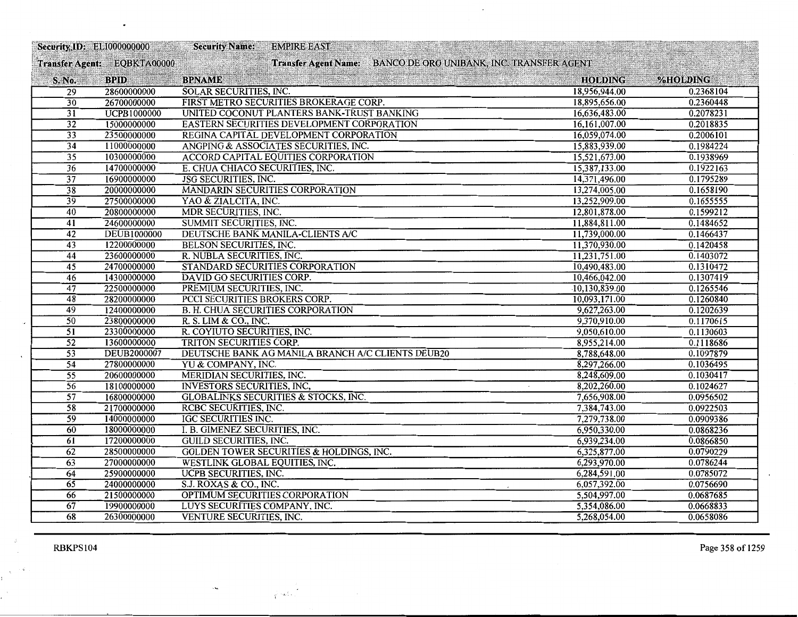| <b>Security, ID: ELI000000000</b> |                             | <b>Security Name:</b><br><b>EMPIRE EAST</b>                    |                |           |
|-----------------------------------|-----------------------------|----------------------------------------------------------------|----------------|-----------|
|                                   | Transfer Agent: EQBKTA00000 | Transfer Agent Name: BANCO DE ORO UNIBANK, INC. TRANSFER AGENT |                |           |
| S. No.                            | <b>BPID</b>                 | <b>BPNAME</b>                                                  | <b>HOLDING</b> | %HOLDING  |
| $\overline{29}$                   | 28600000000                 | <b>SOLAR SECURITIES, INC.</b>                                  | 18,956,944.00  | 0.2368104 |
| $\overline{30}$                   | 26700000000                 | FIRST METRO SECURITIES BROKERAGE CORP.                         | 18,895,656.00  | 0.2360448 |
| 31                                | <b>UCPB1000000</b>          | UNITED COCONUT PLANTERS BANK-TRUST BANKING                     | 16,636,483.00  | 0.2078231 |
| $\overline{32}$                   | 15000000000                 | EASTERN SECURITIES DEVELOPMENT CORPORATION                     | 16,161,007.00  | 0.2018835 |
| $\overline{33}$                   | 23500000000                 | REGINA CAPITAL DEVELOPMENT CORPORATION                         | 16,059,074.00  | 0.2006101 |
| $\overline{34}$                   | 11000000000                 | ANGPING & ASSOCIATES SECURITIES, INC.                          | 15,883,939.00  | 0.1984224 |
| $\overline{35}$                   | 10300000000                 | <b>ACCORD CAPITAL EQUITIES CORPORATION</b>                     | 15,521,673.00  | 0.1938969 |
| 36                                | 14700000000                 | E. CHUA CHIACO SECURITIES, INC.                                | 15,387,133.00  | 0.1922163 |
| $\overline{37}$                   | 16900000000                 | <b>JSG SECURITIES, INC.</b>                                    | 14,371,496.00  | 0.1795289 |
| 38                                | 20000000000                 | MANDARIN SECURITIES CORPORATION                                | 13,274,005.00  | 0.1658190 |
| 39                                | 27500000000                 | YAO & ZIALCITA, INC.                                           | 13,252,909.00  | 0.1655555 |
| 40                                | 20800000000                 | MDR SECURITIES, INC.                                           | 12,801,878.00  | 0.1599212 |
| 41                                | 24600000000                 | SUMMIT SECURITIES, INC.                                        | 11,884,811.00  | 0.1484652 |
| 42                                | <b>DEUB1000000</b>          | DEUTSCHE BANK MANILA-CLIENTS A/C                               | 11,739,000.00  | 0.1466437 |
| 43                                | 12200000000                 | BELSON SECURITIES, INC.                                        | 11,370,930.00  | 0.1420458 |
| $\overline{44}$                   | 23600000000                 | R. NUBLA SECURITIES, INC.                                      | 11,231,751.00  | 0.1403072 |
| $\overline{45}$                   | 24700000000                 | STANDARD SECURITIES CORPORATION                                | 10,490,483.00  | 0.1310472 |
| 46                                | 14300000000                 | DAVID GO SECURITIES CORP.                                      | 10,466,042.00  | 0.1307419 |
| $\overline{47}$                   | 22500000000                 | PREMIUM SECURITIES, INC.                                       | 10,130,839.00  | 0.1265546 |
| $\overline{48}$                   | 28200000000                 | PCCI SECURITIES BROKERS CORP.                                  | 10,093,171.00  | 0.1260840 |
| 49                                | 12400000000                 | <b>B. H. CHUA SECURITIES CORPORATION</b>                       | 9,627,263.00   | 0.1202639 |
| $\overline{50}$                   | 23800000000                 | R. S. LIM & CO., INC.                                          | 9,370,910.00   | 0.1170615 |
| $\overline{51}$                   | 23300000000                 | R. COYIUTO SECURITIES, INC.                                    | 9,050,610.00   | 0.1130603 |
| 52                                | 13600000000                 | TRITON SECURITIES CORP.                                        | 8,955,214.00   | 0.1118686 |
| $\overline{53}$                   | <b>DEUB2000007</b>          | DEUTSCHE BANK AG MANILA BRANCH A/C CLIENTS DEUB20              | 8,788,648.00   | 0.1097879 |
| $\overline{54}$                   | 27800000000                 | YU & COMPANY, INC.                                             | 8,297,266.00   | 0.1036495 |
| $\overline{55}$                   | 20600000000                 | MERIDIAN SECURITIES, INC.                                      | 8,248,609.00   | 0.1030417 |
| 56                                | 18100000000                 | INVESTORS SECURITIES, INC,                                     | 8,202,260.00   | 0.1024627 |
| $\overline{57}$                   | 16800000000                 | <b>GLOBALINKS SECURITIES &amp; STOCKS, INC.</b>                | 7,656,908.00   | 0.0956502 |
| $\overline{58}$                   | 21700000000                 | RCBC SECURITIES, INC.                                          | 7,384,743.00   | 0.0922503 |
| $\overline{59}$                   | 14000000000                 | IGC SECURITIES INC.                                            | 7,279,738.00   | 0.0909386 |
| 60                                | 18000000000                 | I. B. GIMENEZ SECURITIES, INC.                                 | 6,950,330.00   | 0.0868236 |
| 61                                | 17200000000                 | <b>GUILD SECURITIES, INC.</b>                                  | 6,939,234.00   | 0.0866850 |
| 62                                | 28500000000                 | <b>GOLDEN TOWER SECURITIES &amp; HOLDINGS, INC.</b>            | 6,325,877.00   | 0.0790229 |
| 63                                | 27000000000                 | <b>WESTLINK GLOBAL EQUITIES, INC.</b>                          | 6,293,970.00   | 0.0786244 |
| $\overline{64}$                   | 25900000000                 | <b>UCPB SECURITIES, INC.</b>                                   | 6,284,591.00   | 0.0785072 |
| 65                                | 24000000000                 | S.J. ROXAS & CO., INC.                                         | 6,057,392.00   | 0.0756690 |
| 66                                | 21500000000                 | OPTIMUM SECURITIES CORPORATION                                 | 5,504,997.00   | 0.0687685 |
| 67                                | 19900000000                 | LUYS SECURITIES COMPANY, INC.                                  | 5,354,086.00   | 0.0668833 |
| 68                                | 26300000000                 | VENTURE SECURITIES, INC.                                       | 5,268,054.00   | 0.0658086 |

i postali.<br>Postali

 $\mathcal{L}_{\text{max}}$  and  $\mathcal{L}_{\text{max}}$ 

 $\mathcal{A}$ 

RBKPS104 Page 358 of 1259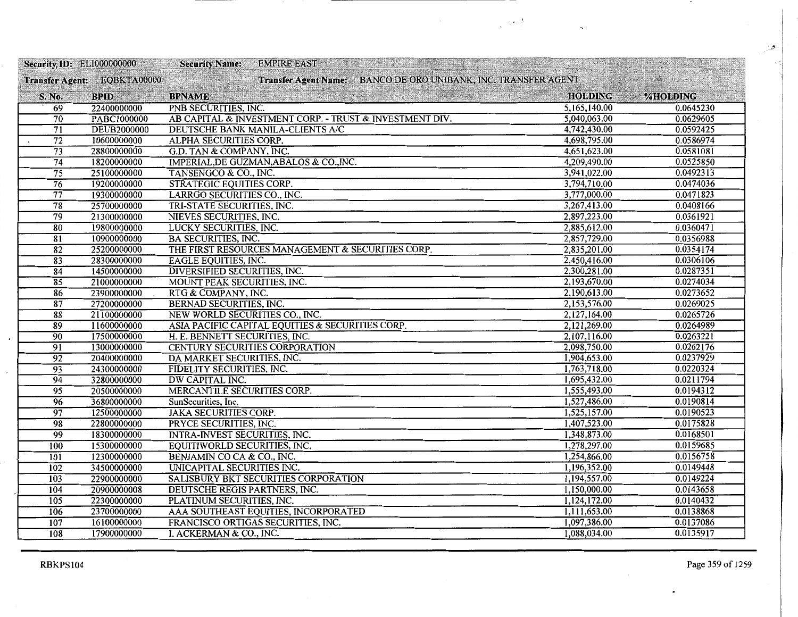|                  | Security, ID: ELI000000000  | <b>Security Name:</b><br><b>EMPIRE EAST</b>                    |                |           |
|------------------|-----------------------------|----------------------------------------------------------------|----------------|-----------|
|                  | Transfer Agent: EQBKTA00000 | Transfer Agent Name: BANCO DE ORO UNIBANK, INC. TRANSFER AGENT |                |           |
| S. No.           | <b>BPID</b>                 | <b>BPNAME</b>                                                  | <b>HOLDING</b> | %HOLDING  |
| $\overline{69}$  | 22400000000                 | PNB SECURITIES, INC.                                           | 5,165,140.00   | 0.0645230 |
| $\overline{70}$  | PABC1000000                 | AB CAPITAL & INVESTMENT CORP. - TRUST & INVESTMENT DIV.        | 5,040,063.00   | 0.0629605 |
| $\overline{71}$  | <b>DEUB2000000</b>          | DEUTSCHE BANK MANILA-CLIENTS A/C                               | 4,742,430.00   | 0.0592425 |
| $\overline{72}$  | 10600000000                 | ALPHA SECURITIES CORP.                                         | 4,698,795.00   | 0.0586974 |
| $\overline{73}$  | 28800000000                 | G.D. TAN & COMPANY, INC.                                       | 4,651,623.00   | 0.0581081 |
| $\overline{74}$  | 18200000000                 | IMPERIAL, DE GUZMAN, ABALOS & CO., INC.                        | 4,209,490.00   | 0.0525850 |
| 75               | 25100000000                 | TANSENGCO & CO., INC.                                          | 3,941,022.00   | 0.0492313 |
| 76               | 19200000000                 | STRATEGIC EQUITIES CORP.                                       | 3,794,710.00   | 0.0474036 |
| $\overline{77}$  | 19300000000                 | LARRGO SECURITIES CO., INC.                                    | 3,777,000.00   | 0.0471823 |
| $\overline{78}$  | 25700000000                 | TRI-STATE SECURITIES, INC.                                     | 3,267,413.00   | 0.0408166 |
| $\overline{79}$  | 21300000000                 | NIEVES SECURITIES, INC.                                        | 2,897,223.00   | 0.0361921 |
| 80               | 19800000000                 | LUCKY SECURITIES, INC.                                         | 2,885,612.00   | 0.0360471 |
| 81               | 10900000000                 | <b>BA SECURITIES, INC.</b>                                     | 2,857,729.00   | 0.0356988 |
| $\overline{82}$  | 25200000000                 | THE FIRST RESOURCES MANAGEMENT & SECURITIES CORP.              | 2,835,201.00   | 0.0354174 |
| $\overline{83}$  | 28300000000                 | <b>EAGLE EQUITIES, INC.</b>                                    | 2,450,416.00   | 0.0306106 |
| $\overline{84}$  | 14500000000                 | DIVERSIFIED SECURITIES, INC.                                   | 2,300,281.00   | 0.0287351 |
| 85               | 21000000000                 | MOUNT PEAK SECURITIES, INC.                                    | 2,193,670.00   | 0.0274034 |
| 86               | 23900000000                 | RTG & COMPANY, INC.                                            | 2,190,613.00   | 0.0273652 |
| 87               | 27200000000                 | BERNAD SECURITIES, INC.                                        | 2,153,576.00   | 0.0269025 |
| 88               | 21100000000                 | NEW WORLD SECURITIES CO., INC.                                 | 2,127,164.00   | 0.0265726 |
| 89               | 11600000000                 | ASIA PACIFIC CAPITAL EQUITIES & SECURITIES CORP.               | 2,121,269.00   | 0.0264989 |
| $\overline{90}$  | 17500000000                 | H. E. BENNETT SECURITIES, INC.                                 | 2,107,116.00   | 0.0263221 |
| $\overline{91}$  | 13000000000                 | <b>CENTURY SECURITIES CORPORATION</b>                          | 2,098,750.00   | 0.0262176 |
| $\overline{92}$  | 20400000000                 | DA MARKET SECURITIES, INC.                                     | 1,904,653.00   | 0.0237929 |
| $\overline{93}$  | 24300000000                 | FIDELITY SECURITIES, INC.                                      | 1,763,718.00   | 0.0220324 |
| $\overline{94}$  | 32800000000                 | DW CAPITAL INC.                                                | 1,695,432.00   | 0.0211794 |
| 95               | 20500000000                 | MERCANTILE SECURITIES CORP.                                    | 1,555,493.00   | 0.0194312 |
| $\overline{96}$  | 36800000000                 | SunSecurities, Inc.                                            | 1,527,486.00   | 0.0190814 |
| 97               | 12500000000                 | <b>JAKA SECURITIES CORP.</b>                                   | 1,525,157.00   | 0.0190523 |
| 98               | 22800000000                 | PRYCE SECURITIES, INC.                                         | 1,407,523.00   | 0.0175828 |
| $\overline{99}$  | 18300000000                 | INTRA-INVEST SECURITIES, INC.                                  | 1,348,873.00   | 0.0168501 |
| 100              | 15300000000                 | EQUITIWORLD SECURITIES, INC.                                   | 1,278,297.00   | 0.0159685 |
| 101              | 12300000000                 | BENJAMIN CO CA & CO., INC.                                     | 1,254,866.00   | 0.0156758 |
| 102              | 34500000000                 | UNICAPITAL SECURITIES INC.                                     | 1,196,352.00   | 0.0149448 |
| $\overline{103}$ | 22900000000                 | SALISBURY BKT SECURITIES CORPORATION                           | 1,194,557.00   | 0.0149224 |
| 104              | 20900000008                 | DEUTSCHE REGIS PARTNERS, INC.                                  | 1,150,000.00   | 0.0143658 |
| 105              | 22300000000                 | PLATINUM SECURITIES, INC.                                      | 1,124,172.00   | 0.0140432 |
| 106              | 23700000000                 | AAA SOUTHEAST EQUITIES, INCORPORATED                           | 1,111,653.00   | 0.0138868 |
| 107              | 16100000000                 | FRANCISCO ORTIGAS SECURITIES, INC.                             | 1,097,386.00   | 0.0137086 |
| 108              | 17900000000                 | I. ACKERMAN & CO., INC.                                        | 1,088,034.00   | 0.0135917 |

 $\label{eq:3.1} \frac{1}{\sqrt{2}}\left(\frac{1}{2}\sqrt{2}\left(\frac{1}{2}\right)\right)^{\frac{1}{2}}\, .$ 

L,

RBKPS104 Page 359 of 1259

 $\omega^{\mu}$  $\sim$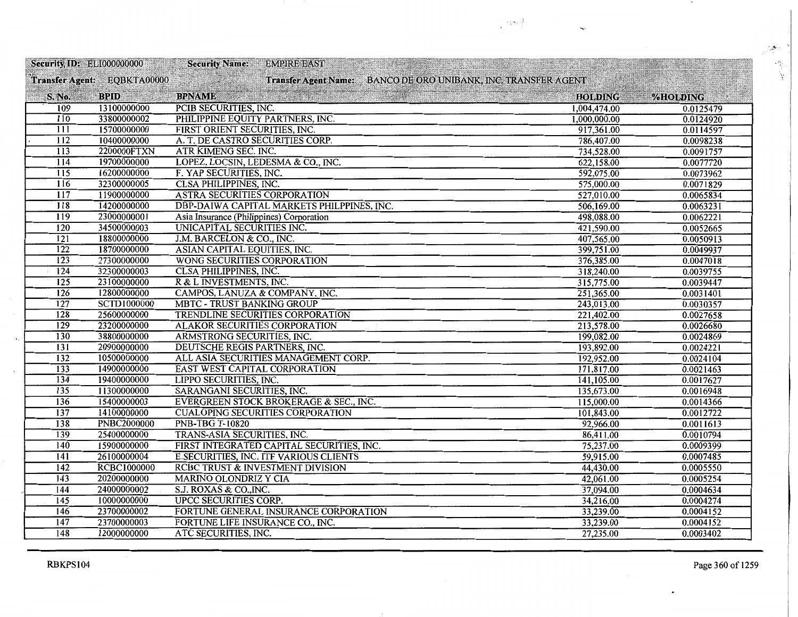|                  |                             | Security, ID: ELI000000000 Security Name:<br><b>EMPIRE EAST</b> |                |           |
|------------------|-----------------------------|-----------------------------------------------------------------|----------------|-----------|
|                  | Transfer Agent: EQBKTA00000 | Transfer Agent Name: BANCO DE ORO UNIBANK, INC. TRANSFER AGENT  |                |           |
| S. No.           | <b>BPID</b>                 | <b>BPNAME</b>                                                   | <b>HOLDING</b> | %HOLDING  |
| 109              | 13100000000                 | PCIB SECURITIES, INC.                                           | 1,004,474.00   | 0.0125479 |
| 110              | 33800000002                 | PHILIPPINE EQUITY PARTNERS, INC.                                | 1,000,000.00   | 0.0124920 |
| $\overline{111}$ | 15700000000                 | FIRST ORIENT SECURITIES, INC.                                   | 917,361.00     | 0.0114597 |
| $\overline{112}$ | 10400000000                 | A. T. DE CASTRO SECURITIES CORP.                                | 786,407.00     | 0.0098238 |
| 113              | 2200000FTXN                 | ATR KIMENG SEC. INC.                                            | 734,528.00     | 0.0091757 |
| 114              | 19700000000                 | LOPEZ, LOCSIN, LEDESMA & CO., INC.                              | 622,158.00     | 0.0077720 |
| 115              | 16200000000                 | F. YAP SECURITIES, INC.                                         | 592,075.00     | 0.0073962 |
| 116              | 32300000005                 | <b>CLSA PHILIPPINES, INC.</b>                                   | 575,000.00     | 0.0071829 |
| $\overline{117}$ | 11900000000                 | ASTRA SECURITIES CORPORATION                                    | 527,010.00     | 0.0065834 |
| $\overline{118}$ | 14200000000                 | DBP-DAIWA CAPITAL MARKETS PHILPPINES, INC.                      | 506,169.00     | 0.0063231 |
| $\overline{119}$ | 23000000001                 | Asia Insurance (Philippines) Corporation                        | 498,088.00     | 0.0062221 |
| $\overline{120}$ | 34500000003                 | UNICAPITAL SECURITIES INC.                                      | 421,590.00     | 0.0052665 |
| 121              | 18800000000                 | J.M. BARCELON & CO., INC.                                       | 407,565.00     | 0.0050913 |
| $\overline{122}$ | 18700000000                 | ASIAN CAPITAL EQUITIES, INC.                                    | 399,751.00     | 0.0049937 |
| 123              | 27300000000                 | WONG SECURITIES CORPORATION                                     | 376,385.00     | 0.0047018 |
| $\overline{124}$ | 32300000003                 | <b>CLSA PHILIPPINES, INC.</b>                                   | 318,240.00     | 0.0039755 |
| 125              | 23100000000                 | R & L INVESTMENTS, INC.                                         | 315,775.00     | 0.0039447 |
| 126              | 12800000000                 | CAMPOS, LANUZA & COMPANY, INC.                                  | 251,365.00     | 0.0031401 |
| $\overline{127}$ | <b>SCTD1000000</b>          | <b>MBTC - TRUST BANKING GROUP</b>                               | 243,013.00     | 0.0030357 |
| $\overline{128}$ | 25600000000                 | TRENDLINE SECURITIES CORPORATION                                | 221,402.00     | 0.0027658 |
| 129              | 23200000000                 | <b>ALAKOR SECURITIES CORPORATION</b>                            | 213,578.00     | 0.0026680 |
| 130              | 38800000000                 | ARMSTRONG SECURITIES, INC.                                      | 199,082.00     | 0.0024869 |
| $\overline{131}$ | 20900000000                 | DEUTSCHE REGIS PARTNERS, INC.                                   | 193,892.00     | 0.0024221 |
| 132              | 10500000000                 | ALL ASIA SECURITIES MANAGEMENT CORP.                            | 192,952.00     | 0.0024104 |
| 133              | 14900000000                 | EAST WEST CAPITAL CORPORATION                                   | 171,817.00     | 0.0021463 |
| 134              | 19400000000                 | LIPPO SECURITIES, INC.                                          | 141,105.00     | 0.0017627 |
| 135              | 11300000000                 | SARANGANI SECURITIES, INC.                                      | 135,673.00     | 0.0016948 |
| 136              | 15400000003                 | EVERGREEN STOCK BROKERAGE & SEC., INC.                          | 115,000.00     | 0.0014366 |
| 137              | 14100000000                 | <b>CUALOPING SECURITIES CORPORATION</b>                         | 101,843.00     | 0.0012722 |
| 138              | <b>PNBC2000000</b>          | <b>PNB-TBG T-10820</b>                                          | 92,966.00      | 0.0011613 |
| 139              | 25400000000                 | TRANS-ASIA SECURITIES, INC.                                     | 86,411.00      | 0.0010794 |
| 140              | 15900000000                 | FIRST INTEGRATED CAPITAL SECURITIES, INC.                       | 75,237.00      | 0.0009399 |
| 141              | 26100000004                 | <b>E.SECURITIES, INC. ITF VARIOUS CLIENTS</b>                   | 59,915.00      | 0.0007485 |
| 142              | <b>RCBC1000000</b>          | RCBC TRUST & INVESTMENT DIVISION                                | 44,430.00      | 0.0005550 |
| 143              | 20200000000                 | <b>MARINO OLONDRIZ Y CIA</b>                                    | 42,061.00      | 0.0005254 |
| 144              | 24000000002                 | S.J. ROXAS & CO., INC.                                          | 37,094.00      | 0.0004634 |
| 145              | 10000000000                 | <b>UPCC SECURITIES CORP.</b>                                    | 34,216.00      | 0.0004274 |
| 146              | 23700000002                 | FORTUNE GENERAL INSURANCE CORPORATION                           | 33,239.00      | 0.0004152 |
| 147              | 23700000003                 | FORTUNE LIFE INSURANCE CO., INC.                                | 33,239.00      | 0.0004152 |
| 148              | 12000000000                 | ATC SECURITIES, INC.                                            | 27,235.00      | 0.0003402 |

 $\label{eq:1} \frac{1}{\sqrt{2}}\left(\frac{1}{\sqrt{2}}\log\left(\frac{1}{\sqrt{2}}\right)\right)$ 

 $\ddot{\phantom{0}}$ 

-..

 $\tilde{\vec{y}}'$ 

.